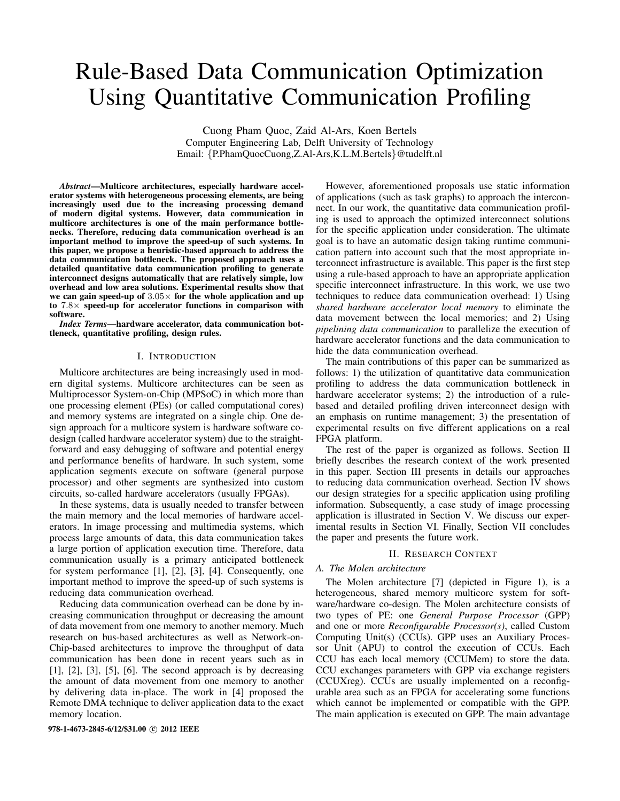# Rule-Based Data Communication Optimization Using Quantitative Communication Profiling

Cuong Pham Quoc, Zaid Al-Ars, Koen Bertels Computer Engineering Lab, Delft University of Technology Email: {P.PhamQuocCuong,Z.Al-Ars,K.L.M.Bertels}@tudelft.nl

*Abstract*—Multicore architectures, especially hardware accelerator systems with heterogeneous processing elements, are being increasingly used due to the increasing processing demand of modern digital systems. However, data communication in multicore architectures is one of the main performance bottlenecks. Therefore, reducing data communication overhead is an important method to improve the speed-up of such systems. In this paper, we propose a heuristic-based approach to address the data communication bottleneck. The proposed approach uses a detailed quantitative data communication profiling to generate interconnect designs automatically that are relatively simple, low overhead and low area solutions. Experimental results show that we can gain speed-up of  $3.05\times$  for the whole application and up to  $7.8\times$  speed-up for accelerator functions in comparison with software.

*Index Terms*—hardware accelerator, data communication bottleneck, quantitative profiling, design rules.

## I. INTRODUCTION

Multicore architectures are being increasingly used in modern digital systems. Multicore architectures can be seen as Multiprocessor System-on-Chip (MPSoC) in which more than one processing element (PEs) (or called computational cores) and memory systems are integrated on a single chip. One design approach for a multicore system is hardware software codesign (called hardware accelerator system) due to the straightforward and easy debugging of software and potential energy and performance benefits of hardware. In such system, some application segments execute on software (general purpose processor) and other segments are synthesized into custom circuits, so-called hardware accelerators (usually FPGAs).

In these systems, data is usually needed to transfer between the main memory and the local memories of hardware accelerators. In image processing and multimedia systems, which process large amounts of data, this data communication takes a large portion of application execution time. Therefore, data communication usually is a primary anticipated bottleneck for system performance [1], [2], [3], [4]. Consequently, one important method to improve the speed-up of such systems is reducing data communication overhead.

Reducing data communication overhead can be done by increasing communication throughput or decreasing the amount of data movement from one memory to another memory. Much research on bus-based architectures as well as Network-on-Chip-based architectures to improve the throughput of data communication has been done in recent years such as in  $[1]$ ,  $[2]$ ,  $[3]$ ,  $[5]$ ,  $[6]$ . The second approach is by decreasing the amount of data movement from one memory to another by delivering data in-place. The work in [4] proposed the Remote DMA technique to deliver application data to the exact memory location.

978-1-4673-2845-6/12/\$31.00 © 2012 IEEE

However, aforementioned proposals use static information of applications (such as task graphs) to approach the interconnect. In our work, the quantitative data communication profiling is used to approach the optimized interconnect solutions for the specific application under consideration. The ultimate goal is to have an automatic design taking runtime communication pattern into account such that the most appropriate interconnect infrastructure is available. This paper is the first step using a rule-based approach to have an appropriate application specific interconnect infrastructure. In this work, we use two techniques to reduce data communication overhead: 1) Using *shared hardware accelerator local memory* to eliminate the data movement between the local memories; and 2) Using *pipelining data communication* to parallelize the execution of hardware accelerator functions and the data communication to hide the data communication overhead.

The main contributions of this paper can be summarized as follows: 1) the utilization of quantitative data communication profiling to address the data communication bottleneck in hardware accelerator systems; 2) the introduction of a rulebased and detailed profiling driven interconnect design with an emphasis on runtime management; 3) the presentation of experimental results on five different applications on a real FPGA platform.

The rest of the paper is organized as follows. Section II briefly describes the research context of the work presented in this paper. Section III presents in details our approaches to reducing data communication overhead. Section IV shows our design strategies for a specific application using profiling information. Subsequently, a case study of image processing application is illustrated in Section V. We discuss our experimental results in Section VI. Finally, Section VII concludes the paper and presents the future work.

## II. RESEARCH CONTEXT

## *A. The Molen architecture*

The Molen architecture [7] (depicted in Figure 1), is a heterogeneous, shared memory multicore system for software/hardware co-design. The Molen architecture consists of two types of PE: one *General Purpose Processor* (GPP) and one or more *Reconfigurable Processor(s)*, called Custom Computing Unit(s) (CCUs). GPP uses an Auxiliary Processor Unit (APU) to control the execution of CCUs. Each CCU has each local memory (CCUMem) to store the data. CCU exchanges parameters with GPP via exchange registers (CCUXreg). CCUs are usually implemented on a reconfigurable area such as an FPGA for accelerating some functions which cannot be implemented or compatible with the GPP. The main application is executed on GPP. The main advantage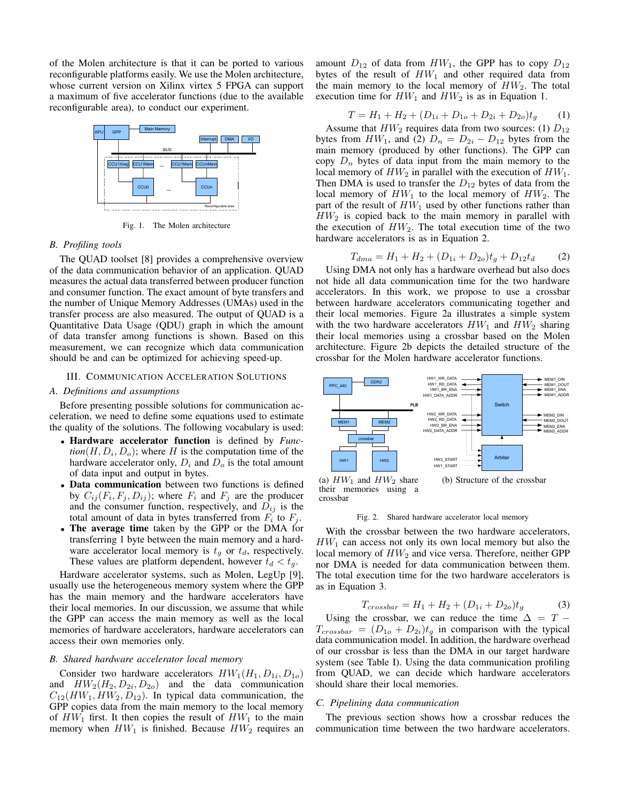of the Molen architecture is that it can be ported to various of the Molen architecture is that it can be ported to various reconfigurable platforms easily. We use the Molen architecture, the total additional additional amount of the total amount and output in the total amount of the total and output and output in by the total amount of the total amount of the total and output in by the total and output in a maximum of five accelerator functions (due to the available reconfigurable area), to conduct our experiment.



Fig. 1. The Molen architecture  $\Gamma$ g. 1. The Molen architecture to the two tensors to the two tensors are the two sets of the transmitted to the transmitted vertex of the transmitted vertex of the transmitted vertex of the transmitted vertex of the tra

## *B. Profiling tools*

The QUAD toolset [8] provides a comprehensive overview of the data communication behavior of an application. QUAD measures the actual data transferred between producer function and consumer function. The exact amount of byte transfers and<br>the number of Unique Memory, Addresse (UMAe) used in the the number of Unique Memory Addresses (UMAs) used in the the number of emique memory Addresses (CMAS) used in the transfer process are also measured. The output of QUAD is a quantitative Data Usage (QDU) graph in which the amount of data transfer among functions is shown. Based on this measurement, we can recognize which data communication should be and can be optimized for achieving speed-up.

## **III. COMMUNICATION ACCELERATION SOLUTIONS** architecture is referred as a heterogeneous memory hierarchy.

## A. Definitions and assumptions

Before presenting possible solutions for communication acceleration, we need to define some equations used to estimate the quality of the solutions. The following vocabulary is used:

- Hardware accelerator function is defined by *Func***that the accelerator function** is defined by *Function*( $H, D_i, D_o$ ); where *H* is the computation time of the hardware accelerator only,  $D_i$  and  $D_o$  is the total amount of data input and output in bytes. memories only.
- Data communication between two functions is defined by  $C_{ij}(F_i, F_j, D_{ij})$ ; where  $F_i$  and  $F_j$  are the producer and the consumer function, respectively, and  $D_{ij}$  is the total amount of data in bytes transferred from  $F_i$  to  $F_j$ .
- The average time taken by the GPP or the DMA for transformation  $\frac{1}{1}$  hyto between the mein memory and a hard transferring 1 byte between the main memory and a hard-The main memory is t<sub>g</sub> or  $t_d$ , respectively. These values are platform dependent, however  $t_d < t_g$ .

Hardware accelerator systems, such as Molen, LegUp [9], riand was decreased by seems, such as Morel,  $E_S^{\text{C}}P_{\text{L}}^{\text{D}}$ , usually use the heterogeneous memory system where the GPP has the main memory and the hardware accelerators have their local memories. In our discussion, we assume that while the GPP can access the main memory as well as the local memories of hardware accelerators, hardware accelerators can access their own memories only.

## *B. Shared hardware accelerator local memory*

Consider two hardware accelerators  $HW_1(H_1, D_{1i}, D_{1o})$ and  $HW_2(H_2, D_{2i}, D_{2o})$  and the data communication  $C_{12}(HW_1, HW_2, D_{12})$ . In typical data communication, the GPP copies data from the main memory to the local memory of  $HW_1$  first. It then copies the result of  $HW_1$  to the main memory when  $HW_1$  is finished. Because  $HW_2$  requires an

amount  $D_{12}$  of data from  $HW_1$ , the GPP has to copy  $D_{12}$ bytes of the result of  $HW_1$  and other required data from the main manner to the local manner of  $HW_1$ . The total the main memory to the local memory of  $HW_2$ . The total execution time for  $HW_1$  and  $HW_2$  is as in Equation 1.

$$
T = H_1 + H_2 + (D_{1i} + D_{1o} + D_{2i} + D_{2o})t_g \tag{1}
$$

Assume that  $HW_2$  requires data from two sources: (1)  $D_{12}$ bytes from  $HW_1$ , and  $(2)$   $D_n = D_{2i} - D_{12}$  bytes from the main memory (produced by other functions). The GPP can copy  $D_n$  bytes of data input from the main memory to the local memory of  $HW_2$  in parallel with the execution of  $HW_1$ . Then DMA is used to transfer the  $D_{12}$  bytes of data from the total execution time time the total execution time  $T_{11}$ . local memory of  $HW_1$  to the local memory of  $HW_2$ . The focal filter hotel of  $HW_1$  to the focal filter handware actions rather than part of the result of  $HW_1$  used by other functions rather than  $HW<sub>2</sub>$  is copied back to the main memory in parallel with  $H W<sub>2</sub>$  is copied back to the main including in parallel with the execution of  $HW<sub>2</sub>$ . The total execution time of the two hardware accelerators is as in Equation 2.

$$
T_{dma} = H_1 + H_2 + (D_{1i} + D_{2o})t_g + D_{12}t_d \tag{2}
$$

Using DMA not only has a hardware overhead but also does not hide all data communication time for the two hardware accelerators. In this work, we propose to use a crossbar between hardware accelerators communicating together and<br>their local mamoriae. Figure 20 illustrates a simple system their local memories. Figure 2a illustrates a simple system their local memories. Figure 2a mustades a simple system with the two hardware accelerators  $HW_1$  and  $HW_2$  sharing their local memories using a crossbar based on the Molen and the molecule in the Molecule structure of the Molecule structure of the Molecule acceleration crossbar for the Molen hardware accelerator functions.



(a)  $HW_1$  and  $HW_2$  share their memories using a crossbar

Fig. 2. Shared hardware accelerator local memory

 $HW_1$  can access not only its own local memory but also the local memory of  $HW_2$  and vice versa. Therefore, neither GPP<br>non-DMA is needed for data communication between them  $\frac{1}{100}$  DIMA is needed to data communication between them. The total execution time for the two hardware accelerators is<br>as in Equation  $\frac{3}{10}$  $\frac{1}{2}$  and  $\frac{1}{2}$  presents the sequence diagram for the processing of  $\frac{1}{2}$ With the crossbar between the two hardware accelerators, nor DMA is needed for data communication between them. as in Equation 3.

$$
T_{crossbar} = H_1 + H_2 + (D_{1i} + D_{2o})t_g \tag{3}
$$

Using the crossbar, we can reduce the time  $\Delta = T T_{crossbar} = (D_{1o} + D_{2i})t_g$  in comparison with the typical data communication model. In addition, the hardware overhead of our crossbar is less than the DMA in our target hardware system (see Table I). Using the data communication profiling from QUAD, we can decide which hardware accelerators should share their local memories.

## *C. Pipelining data communication*

The previous section shows how a crossbar reduces the communication time between the two hardware accelerators.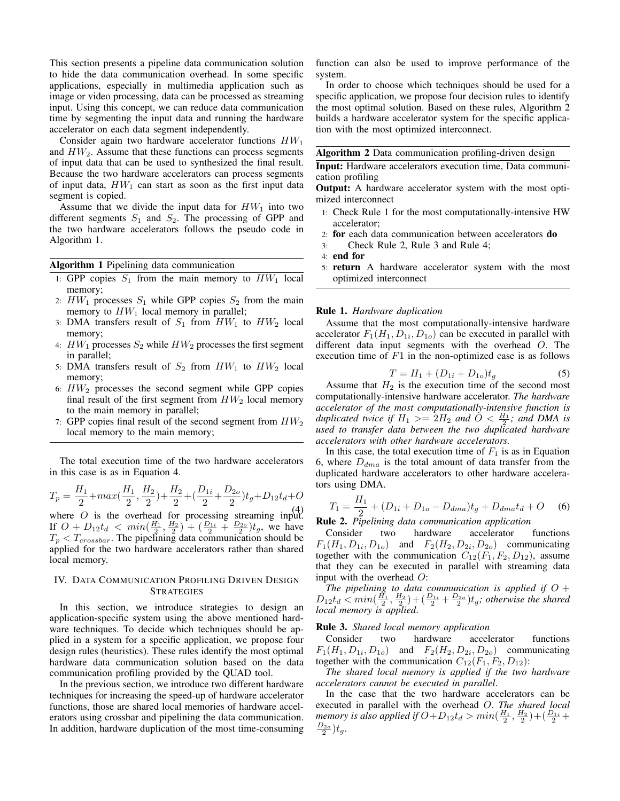This section presents a pipeline data communication solution to hide the data communication overhead. In some specific applications, especially in multimedia application such as image or video processing, data can be processed as streaming input. Using this concept, we can reduce data communication time by segmenting the input data and running the hardware accelerator on each data segment independently.

Consider again two hardware accelerator functions  $HW_1$ and  $HW<sub>2</sub>$ . Assume that these functions can process segments of input data that can be used to synthesized the final result. Because the two hardware accelerators can process segments of input data,  $HW_1$  can start as soon as the first input data segment is copied.

Assume that we divide the input data for  $HW_1$  into two different segments  $S_1$  and  $S_2$ . The processing of GPP and the two hardware accelerators follows the pseudo code in Algorithm 1.

Algorithm 1 Pipelining data communication

- 1: GPP copies  $S_1$  from the main memory to  $HW_1$  local memory;
- 2:  $HW_1$  processes  $S_1$  while GPP copies  $S_2$  from the main memory to  $HW_1$  local memory in parallel;
- 3: DMA transfers result of  $S_1$  from  $HW_1$  to  $HW_2$  local memory;
- 4:  $HW_1$  processes  $S_2$  while  $HW_2$  processes the first segment in parallel;
- 5: DMA transfers result of  $S_2$  from  $HW_1$  to  $HW_2$  local memory;
- 6:  $HW<sub>2</sub>$  processes the second segment while GPP copies final result of the first segment from  $HW_2$  local memory to the main memory in parallel;
- 7: GPP copies final result of the second segment from  $HW_2$ local memory to the main memory;

The total execution time of the two hardware accelerators in this case is as in Equation 4.

$$
T_p = \frac{H_1}{2} + max(\frac{H_1}{2}, \frac{H_2}{2}) + \frac{H_2}{2} + (\frac{D_{1i}}{2} + \frac{D_{2o}}{2})t_g + D_{12}t_d + O_{(4)}
$$

where  $\overrightarrow{O}$  is the overhead for processing streaming input. If  $O + D_1 t_d < min(\frac{H_1}{2}, \frac{H_2}{2}) + (\frac{D_{1i}}{2} + \frac{D_{2o}}{2})t_g$ , we have  $T_p < T_{crossbar}$ . The pipelining data communication should be applied for the two hardware accelerators rather than shared local memory.

## IV. DATA COMMUNICATION PROFILING DRIVEN DESIGN **STRATEGIES**

In this section, we introduce strategies to design an application-specific system using the above mentioned hardware techniques. To decide which techniques should be applied in a system for a specific application, we propose four design rules (heuristics). These rules identify the most optimal hardware data communication solution based on the data communication profiling provided by the QUAD tool.

In the previous section, we introduce two different hardware techniques for increasing the speed-up of hardware accelerator functions, those are shared local memories of hardware accelerators using crossbar and pipelining the data communication. In addition, hardware duplication of the most time-consuming function can also be used to improve performance of the system.

In order to choose which techniques should be used for a specific application, we propose four decision rules to identify the most optimal solution. Based on these rules, Algorithm 2 builds a hardware accelerator system for the specific application with the most optimized interconnect.

Algorithm 2 Data communication profiling-driven design

Input: Hardware accelerators execution time, Data communication profiling

Output: A hardware accelerator system with the most optimized interconnect

- 1: Check Rule 1 for the most computationally-intensive HW accelerator;
- 2: for each data communication between accelerators do
- 3: Check Rule 2, Rule 3 and Rule 4;
- 4: end for
- 5: return A hardware accelerator system with the most optimized interconnect

#### Rule 1. *Hardware duplication*

Assume that the most computationally-intensive hardware accelerator  $F_1(H_1, D_{1i}, D_{1o})$  can be executed in parallel with different data input segments with the overhead O. The execution time of  $F1$  in the non-optimized case is as follows

$$
T = H_1 + (D_{1i} + D_{1o})t_g \tag{5}
$$

Assume that  $H_2$  is the execution time of the second most computationally-intensive hardware accelerator. *The hardware accelerator of the most computationally-intensive function is duplicated twice if*  $H_1 >= 2H_2$  *and*  $O < \frac{H_1}{2}$ *; and DMA is used to transfer data between the two duplicated hardware accelerators with other hardware accelerators.*

In this case, the total execution time of  $F_1$  is as in Equation 6, where  $D_{dma}$  is the total amount of data transfer from the duplicated hardware accelerators to other hardware accelerators using DMA.

$$
T_1 = \frac{H_1}{2} + (D_{1i} + D_{1o} - D_{dma})t_g + D_{dma}t_d + O \quad (6)
$$

**Rule 2.** *Pipelining data communication application* 

Consider two hardware accelerator functions  $F_1(H_1, D_{1i}, D_{1o})$  and  $F_2(H_2, D_{2i}, D_{2o})$  communicating together with the communication  $C_{12}(F_1, F_2, D_{12})$ , assume that they can be executed in parallel with streaming data input with the overhead O:

The pipelining to data communication is applied if  $O +$  $D_{12}t_d \leq min(\frac{H_1}{2},\frac{H_2}{2}) + (\frac{D_{1i}}{2} + \frac{D_{2o}}{2})t_g$ ; otherwise the shared *local memory is applied*.

## Rule 3. *Shared local memory application*

Consider two hardware accelerator functions  $F_1(H_1, D_{1i}, D_{1o})$  and  $F_2(H_2, D_{2i}, D_{2o})$  communicating together with the communication  $C_{12}(F_1, F_2, D_{12})$ :

*The shared local memory is applied if the two hardware accelerators cannot be executed in parallel*.

In the case that the two hardware accelerators can be executed in parallel with the overhead O. *The shared local memory is also applied if*  $O+D_{12}t_d > min(\frac{H_1}{2}, \frac{H_2}{2})+(\frac{D_{1i}}{2}+$  $\frac{D_{2o}}{2}$ ) $t_g$ .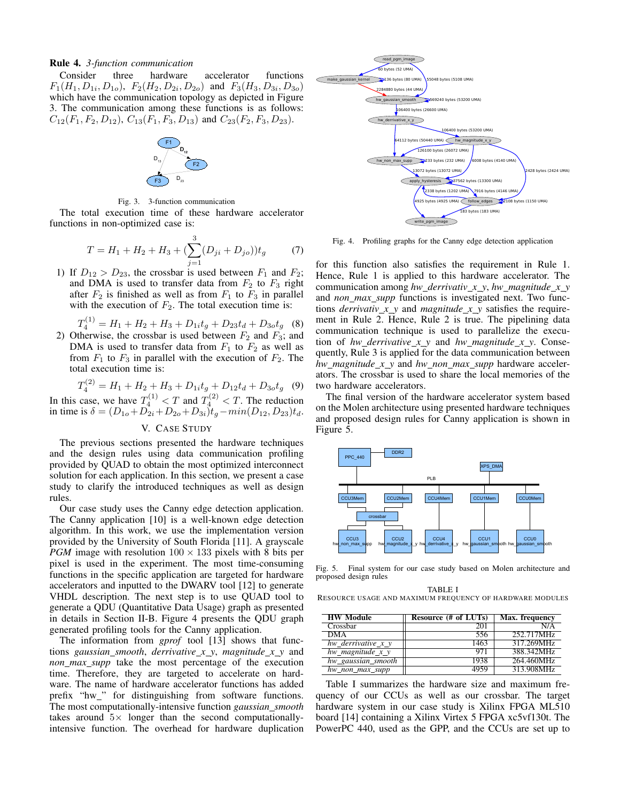Rule 4. *3-function communication*

Consider three hardware accelerator functions  $F_1(H_1, D_{1i}, D_{1o}), F_2(H_2, D_{2i}, D_{2o})$  and  $F_3(H_3, D_{3i}, D_{3o})$ which have the communication topology as depicted in Figure 3. The communication among these functions is as follows:  $C_{12}(F_1, F_2, D_{12}), C_{13}(F_1, F_3, D_{13})$  and  $C_{23}(F_2, F_3, D_{23}).$ 



Fig. 3. 3-function communication

The total execution time of these hardware accelerator functions in non-optimized case is:

$$
T = H_1 + H_2 + H_3 + \left(\sum_{j=1}^{3} (D_{ji} + D_{jo})\right)t_g \tag{7}
$$

1) If  $D_{12} > D_{23}$ , the crossbar is used between  $F_1$  and  $F_2$ ; and DMA is used to transfer data from  $F_2$  to  $F_3$  right after  $F_2$  is finished as well as from  $F_1$  to  $F_3$  in parallel with the execution of  $F_2$ . The total execution time is:

 $T_4^{(1)} = H_1 + H_2 + H_3 + D_{1i}t_g + D_{23}t_d + D_{3o}t_g$  (8)

2) Otherwise, the crossbar is used between  $F_2$  and  $F_3$ ; and DMA is used to transfer data from  $F_1$  to  $F_2$  as well as from  $F_1$  to  $F_3$  in parallel with the execution of  $F_2$ . The total execution time is:

$$
T_4^{(2)} = H_1 + H_2 + H_3 + D_{1i}t_g + D_{12}t_d + D_{3o}t_g
$$
 (9)

In this case, we have  $T_4^{(1)} < T$  and  $T_4^{(2)} < T$ . The reduction in time is  $\delta = (D_{1o} + D_{2i} + D_{2o} + D_{3i})t_g - min(D_{12}, D_{23})t_d$ .

## V. CASE STUDY

The previous sections presented the hardware techniques and the design rules using data communication profiling provided by QUAD to obtain the most optimized interconnect solution for each application. In this section, we present a case study to clarify the introduced techniques as well as design rules.

Our case study uses the Canny edge detection application. The Canny application [10] is a well-known edge detection algorithm. In this work, we use the implementation version provided by the University of South Florida [11]. A grayscale *PGM* image with resolution  $100 \times 133$  pixels with 8 bits per pixel is used in the experiment. The most time-consuming functions in the specific application are targeted for hardware accelerators and inputted to the DWARV tool [12] to generate VHDL description. The next step is to use QUAD tool to generate a QDU (Quantitative Data Usage) graph as presented in details in Section II-B. Figure 4 presents the QDU graph generated profiling tools for the Canny application.

The information from *gprof* tool [13] shows that functions *gaussian smooth*, *derrivative x y*, *magnitude x y* and *non max supp* take the most percentage of the execution time. Therefore, they are targeted to accelerate on hardware. The name of hardware accelerator functions has added prefix "hw\_" for distinguishing from software functions. The most computationally-intensive function *gaussian smooth* takes around  $5\times$  longer than the second computationallyintensive function. The overhead for hardware duplication



Fig. 4. Profiling graphs for the Canny edge detection application

for this function also satisfies the requirement in Rule 1. Hence, Rule 1 is applied to this hardware accelerator. The communication among *hw\_derrivativ\_x\_y, hw\_magnitude\_x\_y* and *non max supp* functions is investigated next. Two functions *derrivativ\_x\_y* and *magnitude\_x\_y* satisfies the requirement in Rule 2. Hence, Rule 2 is true. The pipelining data communication technique is used to parallelize the execution of *hw derrivative x y* and *hw magnitude x y*. Consequently, Rule 3 is applied for the data communication between *hw magnitude x y* and *hw non max supp* hardware accelerators. The crossbar is used to share the local memories of the two hardware accelerators.

The final version of the hardware accelerator system based on the Molen architecture using presented hardware techniques and proposed design rules for Canny application is shown in Figure 5.



Fig. 5. Final system for our case study based on Molen architecture and proposed design rules

TABLE I RESOURCE USAGE AND MAXIMUM FREQUENCY OF HARDWARE MODULES

| <b>HW Module</b>      | Resource $(\# \text{ of LUTs})$ | Max. frequency |
|-----------------------|---------------------------------|----------------|
| Crossbar              | 201                             | N/A            |
| <b>DMA</b>            | 556                             | 252.717MHz     |
| hw derrivative $x, y$ | 1463                            | 317.269MHz     |
| hw magnitude $x_y$    | 971                             | 388.342MHz     |
| hw_gaussian_smooth    | 1938                            | 264.460MHz     |
| $hw\_non\_max\_supp$  | 4959                            | 313.908MHz     |

Table I summarizes the hardware size and maximum frequency of our CCUs as well as our crossbar. The target hardware system in our case study is Xilinx FPGA ML510 board [14] containing a Xilinx Virtex 5 FPGA xc5vf130t. The PowerPC 440, used as the GPP, and the CCUs are set up to